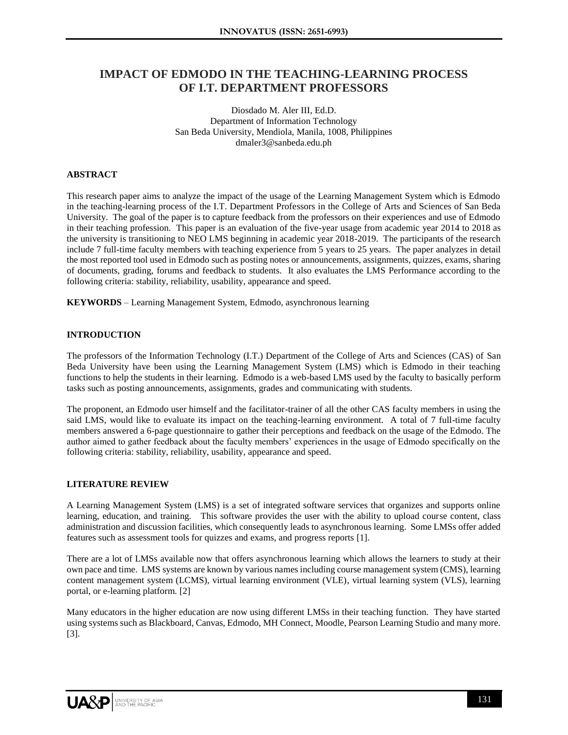# **IMPACT OF EDMODO IN THE TEACHING-LEARNING PROCESS OF I.T. DEPARTMENT PROFESSORS**

Diosdado M. Aler III, Ed.D. Department of Information Technology San Beda University, Mendiola, Manila, 1008, Philippines dmaler3@sanbeda.edu.ph

#### **ABSTRACT**

This research paper aims to analyze the impact of the usage of the Learning Management System which is Edmodo in the teaching-learning process of the I.T. Department Professors in the College of Arts and Sciences of San Beda University. The goal of the paper is to capture feedback from the professors on their experiences and use of Edmodo in their teaching profession. This paper is an evaluation of the five-year usage from academic year 2014 to 2018 as the university is transitioning to NEO LMS beginning in academic year 2018-2019. The participants of the research include 7 full-time faculty members with teaching experience from 5 years to 25 years. The paper analyzes in detail the most reported tool used in Edmodo such as posting notes or announcements, assignments, quizzes, exams, sharing of documents, grading, forums and feedback to students. It also evaluates the LMS Performance according to the following criteria: stability, reliability, usability, appearance and speed.

**KEYWORDS** – Learning Management System, Edmodo, asynchronous learning

#### **INTRODUCTION**

The professors of the Information Technology (I.T.) Department of the College of Arts and Sciences (CAS) of San Beda University have been using the Learning Management System (LMS) which is Edmodo in their teaching functions to help the students in their learning. Edmodo is a web-based LMS used by the faculty to basically perform tasks such as posting announcements, assignments, grades and communicating with students.

The proponent, an Edmodo user himself and the facilitator-trainer of all the other CAS faculty members in using the said LMS, would like to evaluate its impact on the teaching-learning environment. A total of 7 full-time faculty members answered a 6-page questionnaire to gather their perceptions and feedback on the usage of the Edmodo. The author aimed to gather feedback about the faculty members' experiences in the usage of Edmodo specifically on the following criteria: stability, reliability, usability, appearance and speed.

#### **LITERATURE REVIEW**

A Learning Management System (LMS) is a set of integrated software services that organizes and supports online learning, education, and training. This software provides the user with the ability to upload course content, class administration and discussion facilities, which consequently leads to asynchronous learning. Some LMSs offer added features such as assessment tools for quizzes and exams, and progress reports [1].

There are a lot of LMSs available now that offers asynchronous learning which allows the learners to study at their own pace and time. LMS systems are known by various names including course management system (CMS), learning content management system (LCMS), virtual learning environment (VLE), virtual learning system (VLS), learning portal, or e-learning platform. [2]

Many educators in the higher education are now using different LMSs in their teaching function. They have started using systems such as Blackboard, Canvas, Edmodo, MH Connect, Moodle, Pearson Learning Studio and many more. [3].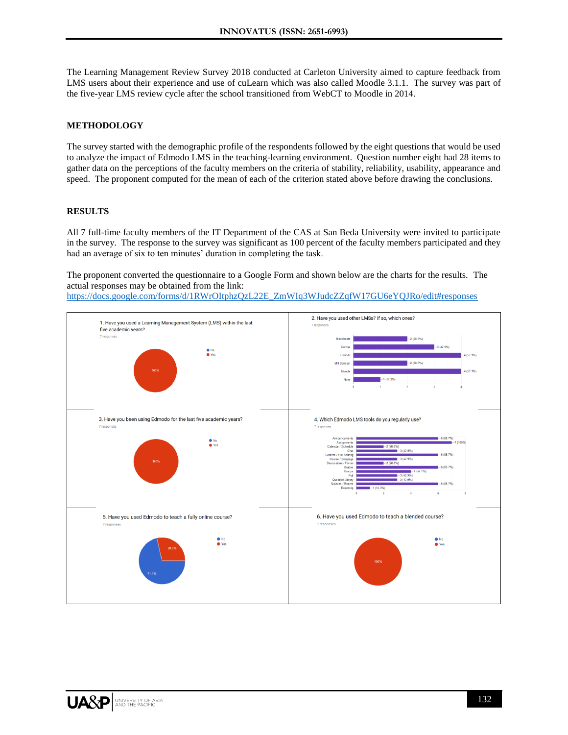The Learning Management Review Survey 2018 conducted at Carleton University aimed to capture feedback from LMS users about their experience and use of cuLearn which was also called Moodle 3.1.1. The survey was part of the five-year LMS review cycle after the school transitioned from WebCT to Moodle in 2014.

## **METHODOLOGY**

The survey started with the demographic profile of the respondents followed by the eight questions that would be used to analyze the impact of Edmodo LMS in the teaching-learning environment. Question number eight had 28 items to gather data on the perceptions of the faculty members on the criteria of stability, reliability, usability, appearance and speed. The proponent computed for the mean of each of the criterion stated above before drawing the conclusions.

#### **RESULTS**

All 7 full-time faculty members of the IT Department of the CAS at San Beda University were invited to participate in the survey. The response to the survey was significant as 100 percent of the faculty members participated and they had an average of six to ten minutes' duration in completing the task.

The proponent converted the questionnaire to a Google Form and shown below are the charts for the results. The actual responses may be obtained from the link:

[https://docs.google.com/forms/d/1RWrOItphzQzL22E\\_ZmWIq3WJudcZZqfW17GU6eYQJRo/edit#responses](https://docs.google.com/forms/d/1RWrOItphzQzL22E_ZmWIq3WJudcZZqfW17GU6eYQJRo/edit#responses)

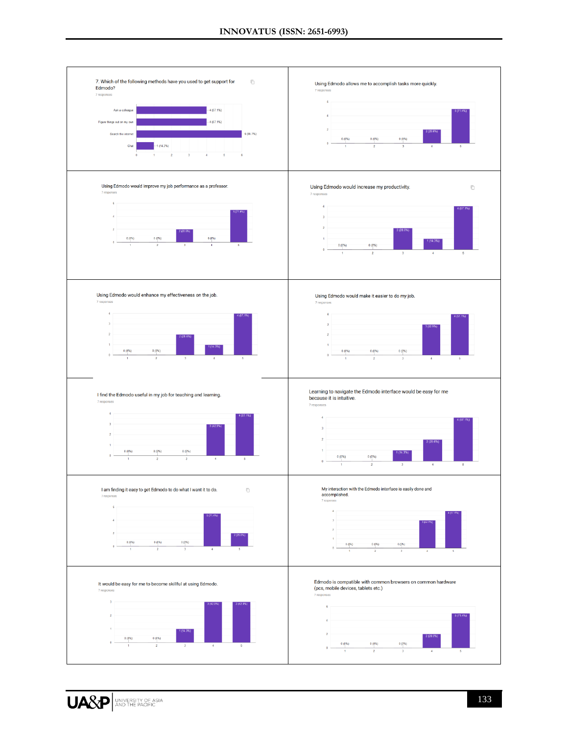

UA&P **AND THE PACIFIC**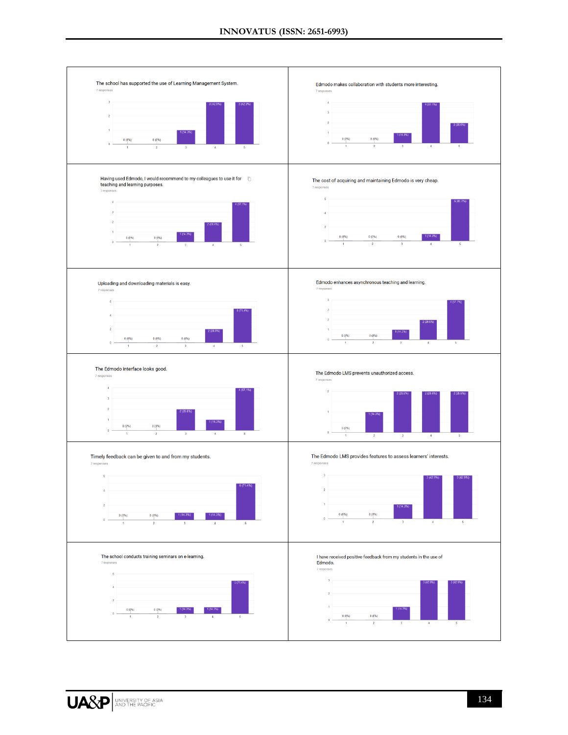

UA&P **XIP ACTE PACTE**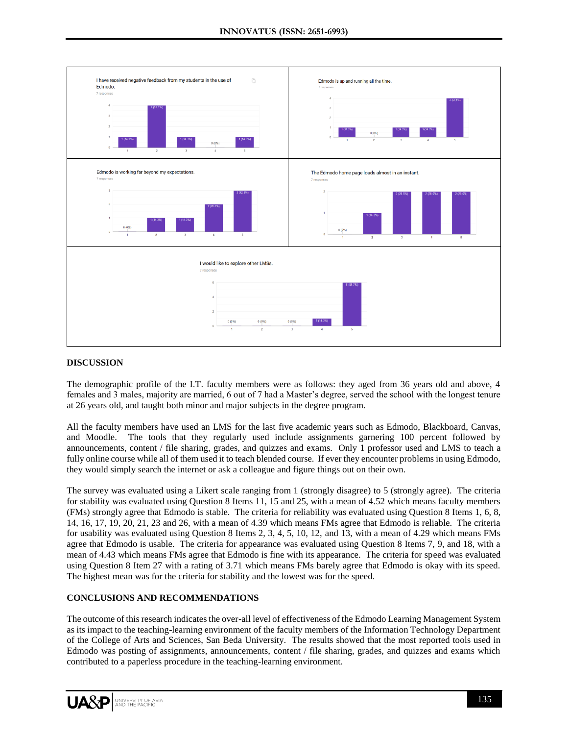

#### **DISCUSSION**

The demographic profile of the I.T. faculty members were as follows: they aged from 36 years old and above, 4 females and 3 males, majority are married, 6 out of 7 had a Master's degree, served the school with the longest tenure at 26 years old, and taught both minor and major subjects in the degree program.

All the faculty members have used an LMS for the last five academic years such as Edmodo, Blackboard, Canvas, and Moodle. The tools that they regularly used include assignments garnering 100 percent followed by announcements, content / file sharing, grades, and quizzes and exams. Only 1 professor used and LMS to teach a fully online course while all of them used it to teach blended course. If ever they encounter problems in using Edmodo, they would simply search the internet or ask a colleague and figure things out on their own.

The survey was evaluated using a Likert scale ranging from 1 (strongly disagree) to 5 (strongly agree). The criteria for stability was evaluated using Question 8 Items 11, 15 and 25, with a mean of 4.52 which means faculty members (FMs) strongly agree that Edmodo is stable. The criteria for reliability was evaluated using Question 8 Items 1, 6, 8, 14, 16, 17, 19, 20, 21, 23 and 26, with a mean of 4.39 which means FMs agree that Edmodo is reliable. The criteria for usability was evaluated using Question 8 Items 2, 3, 4, 5, 10, 12, and 13, with a mean of 4.29 which means FMs agree that Edmodo is usable. The criteria for appearance was evaluated using Question 8 Items 7, 9, and 18, with a mean of 4.43 which means FMs agree that Edmodo is fine with its appearance. The criteria for speed was evaluated using Question 8 Item 27 with a rating of 3.71 which means FMs barely agree that Edmodo is okay with its speed. The highest mean was for the criteria for stability and the lowest was for the speed.

#### **CONCLUSIONS AND RECOMMENDATIONS**

The outcome of this research indicates the over-all level of effectiveness of the Edmodo Learning Management System as its impact to the teaching-learning environment of the faculty members of the Information Technology Department of the College of Arts and Sciences, San Beda University. The results showed that the most reported tools used in Edmodo was posting of assignments, announcements, content / file sharing, grades, and quizzes and exams which contributed to a paperless procedure in the teaching-learning environment.